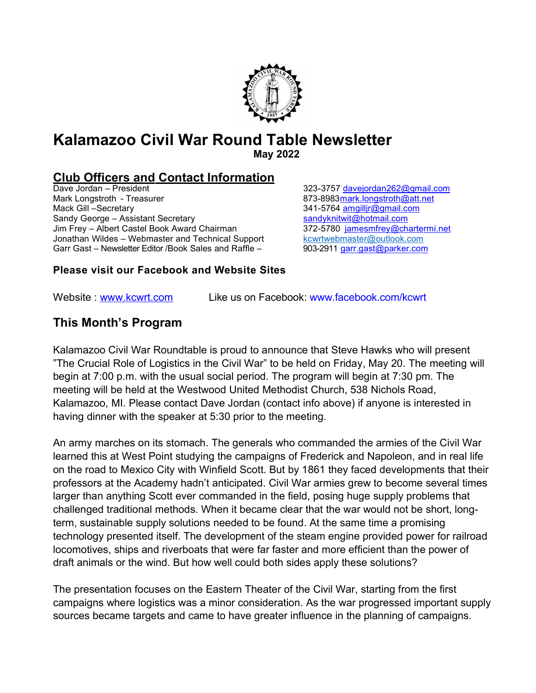# Kalamazoo Civil War Round Table Newsletter

May 2022

# **Club Officers and Contact Information**<br>Dave Jordan – President

Dave Jordan – President 323-3757 d av ejordan 2 6 2 @ g m ail .com Mack Gill –Secretary 341-5764 a mail in the Secretary 1940 states and states of the Sandy George – Assistant Secretary Sandy George – Assistant Secretary Jim Frey – Albert Castel Book Award Chairman 372-5780 jamesmfrey@chartermi.net Jonathan Wildes – Webmaster and Technical Support kcwrtwebmaster@outlook.com Garr Gast – Newsletter Editor /Book Sales and Raffle – 903-2911 garr gast@parker.com

873-8983 mark longstroth @ att.net

#### Please visit our Facebook and Website Sites

Website: www.kcwrt.com Like us on Facebook: www.facebook.com/kcwrt

### This Month's Program

Kalamazoo Civil War Roundtable is proud to announce that Steve Hawks who will present "The Crucial Role of Logistics in the Civil War" to be held on Friday, May 20. The meeting will begin at 7:00 p.m. with the usual social period. The program will begin at 7:30 pm. The meeting will be held at the Westwood United Methodist Church, 538 Nichols Road, Kalamazoo, MI. Please contact Dave Jordan (contact info above) if anyone is interested in having dinner with the speaker at 5:30 prior to the meeting.

An army marches on its stomach. The generals who commanded the armies of the Civil War learned this at West Point studying the campaigns of Frederick and Napoleon, and in real life on the road to Mexico City with Winfield Scott. But by 1861 they faced developments that their professors at the Academy hadn't anticipated. Civil War armies grew to become several times larger than anything Scott ever commanded in the field, posing huge supply problems that challenged traditional methods. When it became clear that the war would not be short, longterm, sustainable supply solutions needed to be found. At the same time a promising technology presented itself. The development of the steam engine provided power for railroad locomotives, ships and riverboats that were far faster and more efficient than the power of draft animals or the wind. But how well could both sides apply these solutions?

The presentation focuses on the Eastern Theater of the Civil War, starting from the first campaigns where logistics was a minor consideration. As the war progressed important supply sources became targets and came to have greater influence in the planning of campaigns.

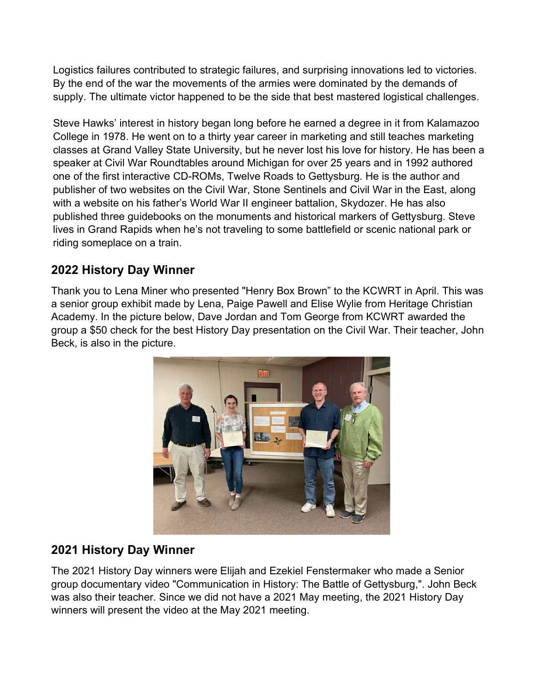Logistics failures contributed to strategic failures, and surprising innovations led to victories. By the end of the war the movements of the armies were dominated by the demands of supply. The ultimate victor happened to be the side that best mastered logistical challenges.

Steve Hawks' interest in history began long before he earned a degree in it from Kalamazoo College in 1978. He went on to a thirty year career in marketing and still teaches marketing classes at Grand Valley State University, but he never lost his love for history. He has been a speaker at Civil War Roundtables around Michigan for over 25 years and in 1992 authored one of the first interactive CD-ROMs, Twelve Roads to Gettysburg. He is the author and publisher of two websites on the Civil War, Stone Sentinels and Civil War in the East, along with a website on his father's World War II engineer battalion, Skydozer. He has also published three guidebooks on the monuments and historical markers of Gettysburg. Steve lives in Grand Rapids when he's not traveling to some battlefield or scenic national park or riding someplace on a train.

## 2022 History Day Winner

Thank you to Lena Miner who presented "Henry Box Brown" to the KCWRT in April. This was a senior group exhibit made by Lena, Paige Pawell and Elise Wylie from Heritage Christian Academy. In the picture below, Dave Jordan and Tom George from KCWRT awarded the group a \$50 check for the best History Day presentation on the Civil War. Their teacher, John Beck, is also in the picture.



## 2021 History Day Winner

The 2021 History Day winners were Elijah and Ezekiel Fenstermaker who made a Senior group documentary video "Communication in History: The Battle of Gettysburg,". John Beck was also their teacher. Since we did not have a 2021 May meeting, the 2021 History Day winners will present the video at the May 2021 meeting.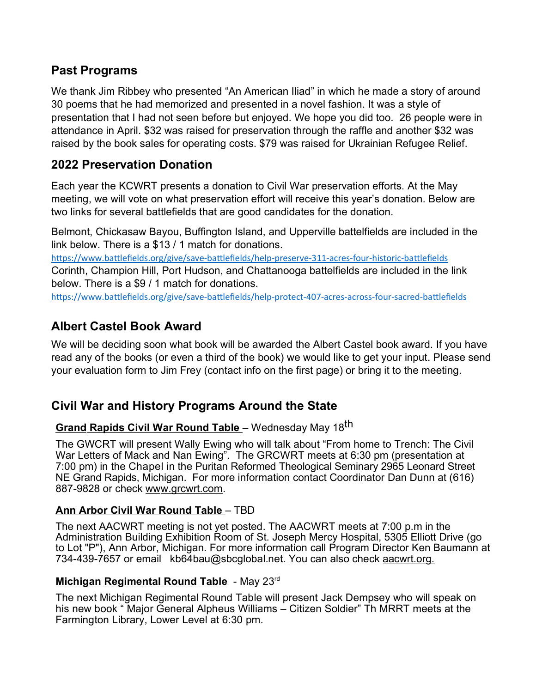### Past Programs

We thank Jim Ribbey who presented "An American Iliad" in which he made a story of around 30 poems that he had memorized and presented in a novel fashion. It was a style of presentation that I had not seen before but enjoyed. We hope you did too. 26 people were in attendance in April. \$32 was raised for preservation through the raffle and another \$32 was raised by the book sales for operating costs. \$79 was raised for Ukrainian Refugee Relief.

## 2022 Preservation Donation

Each year the KCWRT presents a donation to Civil War preservation efforts. At the May meeting, we will vote on what preservation effort will receive this year's donation. Below are two links for several battlefields that are good candidates for the donation.

Belmont, Chickasaw Bayou, Buffington Island, and Upperville battelfields are included in the link below. There is a \$13 / 1 match for donations.

https://www.battlefields.org/give/save-battlefields/help-preserve-311-acres-four-historic-battlefields Corinth, Champion Hill, Port Hudson, and Chattanooga battelfields are included in the link below. There is a \$9 / 1 match for donations.

https://www.battlefields.org/give/save-battlefields/help-protect-407-acres-across-four-sacred-battlefields

## Albert Castel Book Award

We will be deciding soon what book will be awarded the Albert Castel book award. If you have read any of the books (or even a third of the book) we would like to get your input. Please send your evaluation form to Jim Frey (contact info on the first page) or bring it to the meeting.

### Civil War and History Programs Around the State

## Grand Rapids Civil War Round Table - Wednesday May 18<sup>th</sup>

The GWCRT will present Wally Ewing who will talk about "From home to Trench: The Civil War Letters of Mack and Nan Ewing". The GRCWRT meets at 6:30 pm (presentation at 7:00 pm) in the Chapel in the Puritan Reformed Theological Seminary 2965 Leonard Street NE Grand Rapids, Michigan. For more information contact Coordinator Dan Dunn at (616) 887-9828 or check www.grcwrt.com.

#### Ann Arbor Civil War Round Table – TBD

The next AACWRT meeting is not yet posted. The AACWRT meets at 7:00 p.m in the Administration Building Exhibition Room of St. Joseph Mercy Hospital, 5305 Elliott Drive (go to Lot "P"), Ann Arbor, Michigan. For more information call Program Director Ken Baumann at 734-439-7657 or email kb64bau@sbcglobal.net. You can also check aacwrt.org.

#### Michigan Regimental Round Table - May 23rd

The next Michigan Regimental Round Table will present Jack Dempsey who will speak on his new book " Major General Alpheus Williams – Citizen Soldier" Th MRRT meets at the Farmington Library, Lower Level at 6:30 pm.